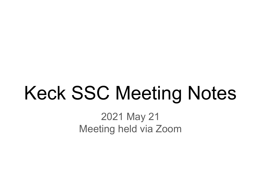# Keck SSC Meeting Notes

2021 May 21 Meeting held via Zoom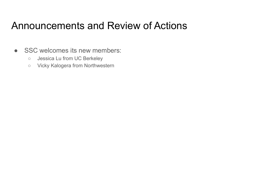#### Announcements and Review of Actions

- SSC welcomes its new members:
	- Jessica Lu from UC Berkeley
	- Vicky Kalogera from Northwestern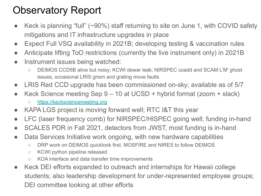# Observatory Report

- Keck is planning "full" (~90%) staff returning to site on June 1, with COVID safety mitigations and IT infrastructure upgrades in place
- Expect Full VSQ availability in 2021B; developing testing & vaccination rules
- Anticipate lifting ToO restrictions (currently the live instrument only) in 2021B
- Instrument issues being watched:
	- DEIMOS CCD5B alive but noisy; KCWI dewar leak; NIRSPEC coadd and SCAM L'M' ghost issues, occasional LRIS grism and grating move faults
- LRIS Red CCD upgrade has been commissioned on-sky; available as of 5/7
- Keck Science meeting Sep  $9 10$  at UCSD + hybrid format (zoom + slack)
	- <https://kecksciencemeeting.org>
- KAPA LGS project is moving forward well; RTC I&T this year
- LFC (laser frequency comb) for NIRSPEC/HISPEC going well; funding in-hand
- SCALES PDR in Fall 2021, detectors from JWST, most funding is in-hand
- Data Services Initiative work ongoing, with new hardware capabilities
	- DRP work on DEIMOS quicklook first. MOSFIRE and NIRES to follow DEIMOS
	- KCWI python pipeline released
	- KOA interface and data transfer time improvements
- Keck DEI efforts expanded to outreach and internships for Hawaii college students; also leadership development for under-represented employee groups; DEI committee looking at other efforts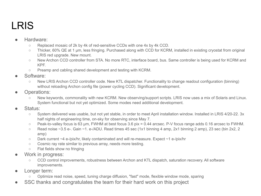### LRIS

#### Hardware:

- Replaced mosaic of 2k by 4k of red-sensitive CCDs with one 4x by 4k CCD.
- Thicker, 60% QE at 1 µm, less fringing. Purchased along with CCD for KCRM, installed in existing cryostat from original LRIS red upgrade. New mount.
- New Archon CCD controller from STA. No more RTC, interface board, bus. Same controller is being used for KCRM and KPF.
- Preamp and cabling shared development and testing with KCRM.
- Software:
	- New LRIS Archon CCD controller code. New KTL dispatcher. Functionality to change readout configuration (binning) without reloading Archon config file (power cycling CCD). Significant development.
- Operations:
	- New keywords, commonality with new KCRM. New observing/support scripts. LRIS now uses a mix of Solaris and Linux. System functional but not yet optimized. Some modes need additional development.
- Status:
	- System delivered was usable, but not yet stable, in order to meet April installation window. Installed in LRIS 4/20-22. 3x half nights of engineering time, on-sky for observing since May 7.
	- Peak-to-valley focus is 63 µm, FWHM at best focus 3.6 pix = 0.44 arcsec. P-V focus range adds 0.16 arcsec to FWHM.
	- $\circ$  Read noise ~3.5 e-. Gain ~1. e-/ADU. Read times 45 sec (1x1 binning 4 amp, 2x1 binning 2 amp), 23 sec (bin 2x2, 2 amp)
	- Dark current ~4 e-/pix/hr, likely contaminated and will re-measure. Expect ~1 e-/pix/hr
	- Cosmic ray rate similar to previous array, needs more testing.
	- Flat fields show no fringing
- Work in progress:
	- CCD control improvements, robustness between Archon and KTL dispatch, saturation recovery. All software improvements.
- Longer term:
	- Optimize read noise, speed, tuning charge diffusion, "fast" mode, flexible window mode, sparing
- SSC thanks and congratulates the team for their hard work on this project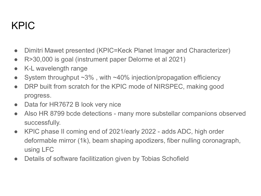# KPIC

- Dimitri Mawet presented (KPIC=Keck Planet Imager and Characterizer)
- R>30,000 is goal (instrument paper Delorme et al 2021)
- K-L wavelength range
- System throughput  $\sim 3\%$ , with  $\sim 40\%$  injection/propagation efficiency
- DRP built from scratch for the KPIC mode of NIRSPEC, making good progress.
- Data for HR7672 B look very nice
- Also HR 8799 bcde detections many more substellar companions observed successfully.
- KPIC phase II coming end of 2021/early 2022 adds ADC, high order deformable mirror (1k), beam shaping apodizers, fiber nulling coronagraph, using LFC
- Details of software facilitization given by Tobias Schofield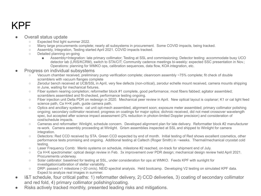#### KPF

#### Overall status update

- Expected first light summer 2022.
- Many large procurements complete; nearly all subsystems in procurement. Some COVID impacts, being tracked.
- Assembly, Integration, Testing started April 2021. COVID impacts tracked.
- Detailed planning on-going
	- Assembly+Integration: late primary collimator; Testing at SSL and commissioning; Detector testing: accommodate busy UCO detector lab (LRIS/KCRM), switch to STA/CIT; Community cadence meetings bi-weekly: expected SSC presentation in Nov.; Operations: planning for WMKO ops, calibration sequences, data flow, KOA integration, etc.
- Progress on individual subsystems
	- Vacuum chamber received, preliminary pump verification complete; cleanroom assembly ~75% complete; fit check of double scramblers with vacuum flanges complete
	- Zerodur bench received at UCB/SSL in April, very few defects (non-critical), zerodur echelle mount received, camera mounts shipping in June, waiting for mechanical fixtures.
	- Fiber system nearing completion; reformetter block #1 complete, good performance; most fibers fabbed; agitator assembled; scramblers assembled and fit-checked, performance testing ongoing.
	- Fiber injection unit Delta PDR on redesign in 2020. Mechanical peer review in April. New optical layout is coplanar; K1 or cal light feed science path, Ca H+K path, guide camera path.
	- Optics and ancillary systems: cal unit opt-mech assembled, alignment soon; exposure meter assembled; primary collimator polishing ongoing; secondary collimator received; progress on coatings for major optics; dichroic received, did not meet crossover wavelength spec, but accepted after science impact assessment (2% reduction in photon-limited Doppler precision) and consideration of cost/schedule impacts.
	- Cameras and reformatter: Winlight, schedule concern. Developed alignment plan for late delivery. Reformatter block #2 manufacturer re-work. Camera assembly proceeding at Winlight. Grism assemblies inspected at SSL and shipped to Winlight for camera integration.
	- Detectors: Red CCD received by STA. Green CCD expected by end of month. Initial testing of Red shows excellent cosmetics, other performance tests promising and ongoing. Additional testing at Caltech (Roger Smith) in ~weeks. Thermal/mechanical cryostat cold testing.
	- Laser Frequency Comb: Menlo systems on schedule, milestone #2 reached, on-track for shipment end of July.
	- Ca H+K spectrometer: optical design review in Feb. 3x improvement over PDR design; mechanical design review held April 2021. Procurements underway.
	- Solar calibrator: baselined for testing at SSL, under consideration for ops at WMKO. Feeds KPF with sunlight for investigation/calibration of stellar variability.
	- DRP: passed v1 milestone (~20 cm/s). NEID spectral analysis. Held bootcamp. Developing V2 testing on simulated KPF data. Expect to analyze real images in summer.
- I&T schedule, four critical paths: 1) reformatter delivery, 2) CCD deliveries, 3) coating of secondary collimator and red fold, 4) primary collimator polishing/coating.
- Risks actively tracked monthly, presented leading risks and mitigations.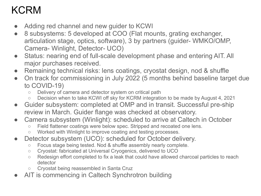# KCRM

- Adding red channel and new guider to KCWI
- 8 subsystems: 5 developed at COO (Flat mounts, grating exchanger, articulation stage, optics, software), 3 by partners (guider- WMKO/OMP, Camera- Winlight, Detector- UCO)
- Status: nearing end of full-scale development phase and entering AIT. All major purchases received.
- Remaining technical risks: lens coatings, cryostat design, nod & shuffle
- On track for commissioning in July 2022 (5 months behind baseline target due to COVID-19)
	- Delivery of camera and detector system on critical path
	- Decision when to take KCWI off sky for KCRM integration to be made by August 4, 2021
- Guider subsystem: completed at OMP and in transit. Successful pre-ship review in March. Guider flange was checked at observatory.
- Camera subsystem (Winlight): scheduled to arrive at Caltech in October
	- Field flattener coatings were below spec. Stripped and recoated one lens.
	- Worked with Winlight to improve coating and testing processes.
- Detector subsystem (UCO): scheduled for October delivery.
	- Focus stage being tested. Nod & shuffle assembly nearly complete.
	- Cryostat: fabricated at Universal Cryogenics, delivered to UCO
	- Redesign effort completed to fix a leak that could have allowed charcoal particles to reach detector
	- Cryostat being reassembled in Santa Cruz
- AIT is commencing in Caltech Synchrotron building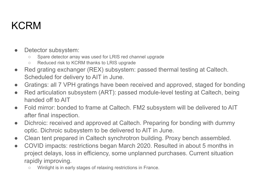# KCRM

- Detector subsystem:
	- Spare detector array was used for LRIS red channel upgrade
	- Reduced risk to KCRM thanks to LRIS upgrade
- Red grating exchanger (REX) subsystem: passed thermal testing at Caltech. Scheduled for delivery to AIT in June.
- Gratings: all 7 VPH gratings have been received and approved, staged for bonding
- Red articulation subsystem (ART): passed module-level testing at Caltech, being handed off to AIT
- Fold mirror: bonded to frame at Caltech. FM2 subsystem will be delivered to AIT after final inspection.
- Dichroic: received and approved at Caltech. Preparing for bonding with dummy optic. Dichroic subsystem to be delivered to AIT in June.
- Clean tent prepared in Caltech synchrotron building. Proxy bench assembled.
- COVID impacts: restrictions began March 2020. Resulted in about 5 months in project delays, loss in efficiency, some unplanned purchases. Current situation rapidly improving.
	- Winlight is in early stages of relaxing restrictions in France.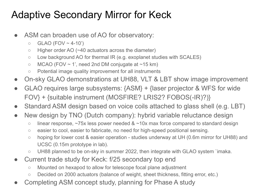# Adaptive Secondary Mirror for Keck

- ASM can broaden use of AO for observatory:
	- $O$  GLAO (FOV ~ 4-10')
	- Higher order AO (~40 actuators across the diameter)
	- Low background AO for thermal IR (e.g. exoplanet studies with SCALES)
	- $\circ$  MCAO (FOV  $\sim$  1', need 2nd DM conjugate at  $\sim$  15 km)
	- Potential image quality improvement for all instruments
- On-sky GLAO demonstrations at UH88, VLT & LBT show image improvement
- GLAO requires large subsystems: {ASM} + {laser projector & WFS for wide FOV} + {suitable instrument (MOSFIRE? LRIS2? FOBOS(-IR)?)}
- Standard ASM design based on voice coils attached to glass shell (e.g. LBT)
- New design by TNO (Dutch company): hybrid variable reluctance design
	- $\circ$  linear response, ~75x less power needed & ~10x max force compared to standard design
	- easier to cool, easier to fabricate, no need for high-speed positional sensing.
	- hoping for lower cost & easier operation studies underway at UH (0.6m mirror for UH88) and UCSC (0.15m prototype in lab).
	- UH88 planned to be on-sky in summer 2022, then integrate with GLAO system `imaka.
- Current trade study for Keck: f/25 secondary top end
	- Mounted on hexapod to allow for telescope focal plane adjustment
	- Decided on 2000 actuators (balance of weight, sheet thickness, fitting error, etc.)
- Completing ASM concept study, planning for Phase A study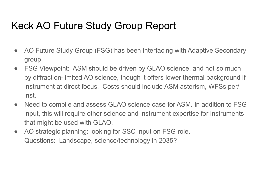# Keck AO Future Study Group Report

- AO Future Study Group (FSG) has been interfacing with Adaptive Secondary group.
- FSG Viewpoint: ASM should be driven by GLAO science, and not so much by diffraction-limited AO science, though it offers lower thermal background if instrument at direct focus. Costs should include ASM asterism, WFSs per/ inst.
- Need to compile and assess GLAO science case for ASM. In addition to FSG input, this will require other science and instrument expertise for instruments that might be used with GLAO.
- AO strategic planning: looking for SSC input on FSG role. Questions: Landscape, science/technology in 2035?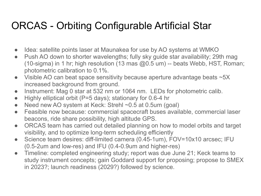#### ORCAS - Orbiting Configurable Artificial Star

- Idea: satellite points laser at Maunakea for use by AO systems at WMKO
- Push AO down to shorter wavelengths; fully sky guide star availability; 29th mag (10-sigma) in 1 hr; high resolution (13 mas  $@0.5$  um) -- beats Webb, HST, Roman; photometric calibration to 0.1%.
- Visible AO can beat space sensitivity because aperture advantage beats ~5X increased background from ground.
- Instrument: Mag 0 star at 532 nm or 1064 nm. LEDs for photometric calib.
- Highly elliptical orbit (P=5 days); stationary for 0.6-4 hr
- Need new AO system at Keck: Strehl ~0.5 at 0.5um (goal)
- Feasible now because: commercial spacecraft buses available, commercial laser beacons, ride share possibility, high altitude GPS.
- ORCAS team has carried out detailed planning on how to model orbits and target visibility, and to optimize long-term scheduling efficiently
- Science team desires: diff-limited camera (0.45-1um), FOV=10x10 arcsec; IFU (0.5-2um and low-res) and IFU (0.4-0.9um and higher-res)
- Timeline: completed engineering study; report was due June 21; Keck teams to study instrument concepts; gain Goddard support for proposing; propose to SMEX in 2023?; launch readiness (2029?) followed by science.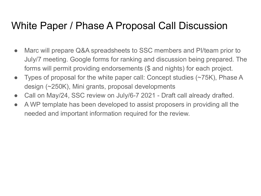#### White Paper / Phase A Proposal Call Discussion

- Marc will prepare Q&A spreadsheets to SSC members and PI/team prior to July/7 meeting. Google forms for ranking and discussion being prepared. The forms will permit providing endorsements (\$ and nights) for each project.
- Types of proposal for the white paper call: Concept studies (~75K), Phase A design (~250K), Mini grants, proposal developments
- Call on May/24, SSC review on July/6-7 2021 Draft call already drafted.
- A WP template has been developed to assist proposers in providing all the needed and important information required for the review.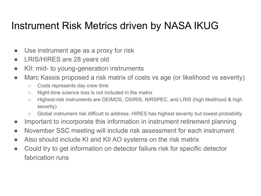#### Instrument Risk Metrics driven by NASA IKUG

- Use instrument age as a proxy for risk
- LRIS/HIRES are 28 years old
- KII: mid- to young-generation instruments
- Marc Kassis proposed a risk matrix of costs vs age (or likelihood vs severity)
	- Costs represents day crew time
	- Night-time science loss is not included in the matrix
	- Highest-risk instruments are DEIMOS, OSIRIS, NIRSPEC, and LRIS (high likelihood & high severity)
	- Global instrument risk difficult to address. HIRES has highest severity but lowest probability.
- Important to incorporate this information in instrument retirement planning
- November SSC meeting will include risk assessment for each instrument
- Also should include KI and KII AO systems on the risk matrix
- Could try to get information on detector failure risk for specific detector fabrication runs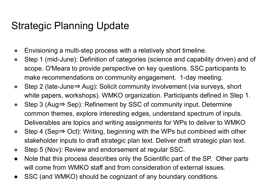# Strategic Planning Update

- Envisioning a multi-step process with a relatively short timeline.
- Step 1 (mid-June): Definition of categories (science and capability driven) and of scope. O'Meara to provide perspective on key questions. SSC participants to make recommendations on community engagement. 1-day meeting.
- Step 2 (late-June⇒ Aug): Solicit community involvement (via surveys, short white papers, workshops). WMKO organization. Participants defined in Step 1.
- Step 3 (Aug⇒ Sep): Refinement by SSC of community input. Determine common themes, explore interesting edges, understand spectrum of inputs. Deliverables are topics and writing assignments for WPs to deliver to WMKO
- Step 4 (Sep⇒ Oct): Writing, beginning with the WPs but combined with other stakeholder inputs to draft strategic plan text. Deliver draft strategic plan text.
- Step 5 (Nov): Review and endorsement at regular SSC.
- Note that this process describes only the Scientific part of the SP. Other parts will come from WMKO staff and from consideration of external issues.
- SSC (and WMKO) should be cognizant of any boundary conditions.